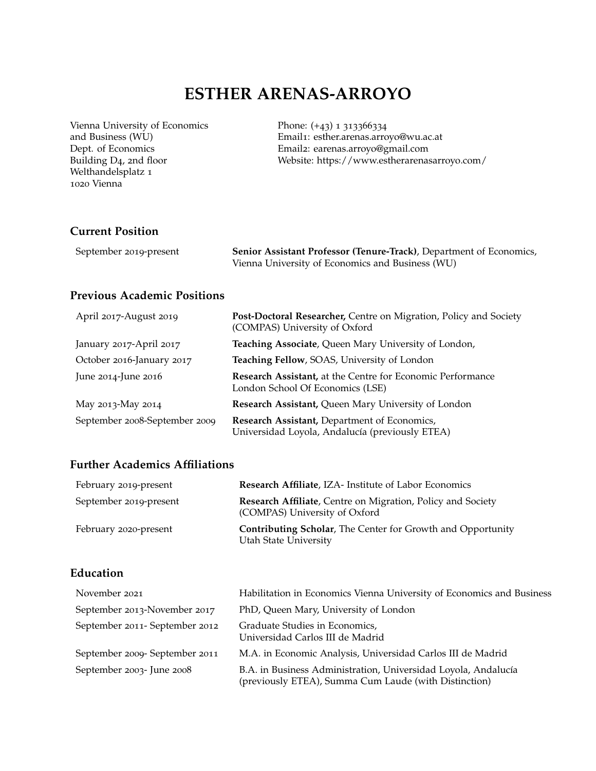# **ESTHER ARENAS-ARROYO**

Vienna University of Economics and Business (WU) Dept. of Economics Building D4, 2nd floor Welthandelsplatz 1 1020 Vienna

Phone: (+43) 1 313366334 Email1: esther.arenas.arroyo@wu.ac.at Email2: earenas.arroyo@gmail.com Website: https://www.estherarenasarroyo.com/

# **Current Position**

| September 2019-present | Senior Assistant Professor (Tenure-Track), Department of Economics, |
|------------------------|---------------------------------------------------------------------|
|                        | Vienna University of Economics and Business (WU)                    |

# **Previous Academic Positions**

| April 2017-August 2019        | Post-Doctoral Researcher, Centre on Migration, Policy and Society<br>(COMPAS) University of Oxford |
|-------------------------------|----------------------------------------------------------------------------------------------------|
| January 2017-April 2017       | Teaching Associate, Queen Mary University of London,                                               |
| October 2016-January 2017     | Teaching Fellow, SOAS, University of London                                                        |
| June 2014-June 2016           | Research Assistant, at the Centre for Economic Performance<br>London School Of Economics (LSE)     |
| May 2013-May 2014             | Research Assistant, Queen Mary University of London                                                |
| September 2008-September 2009 | Research Assistant, Department of Economics,<br>Universidad Loyola, Andalucía (previously ETEA)    |

# **Further Academics Affiliations**

| February 2019-present  | Research Affiliate, IZA- Institute of Labor Economics                                               |
|------------------------|-----------------------------------------------------------------------------------------------------|
| September 2019-present | <b>Research Affiliate, Centre on Migration, Policy and Society</b><br>(COMPAS) University of Oxford |
| February 2020-present  | <b>Contributing Scholar, The Center for Growth and Opportunity</b><br>Utah State University         |

# **Education**

| November 2021                  | Habilitation in Economics Vienna University of Economics and Business                                                   |
|--------------------------------|-------------------------------------------------------------------------------------------------------------------------|
| September 2013-November 2017   | PhD, Queen Mary, University of London                                                                                   |
| September 2011- September 2012 | Graduate Studies in Economics,<br>Universidad Carlos III de Madrid                                                      |
| September 2009- September 2011 | M.A. in Economic Analysis, Universidad Carlos III de Madrid                                                             |
| September 2003- June 2008      | B.A. in Business Administration, Universidad Loyola, Andalucía<br>(previously ETEA), Summa Cum Laude (with Distinction) |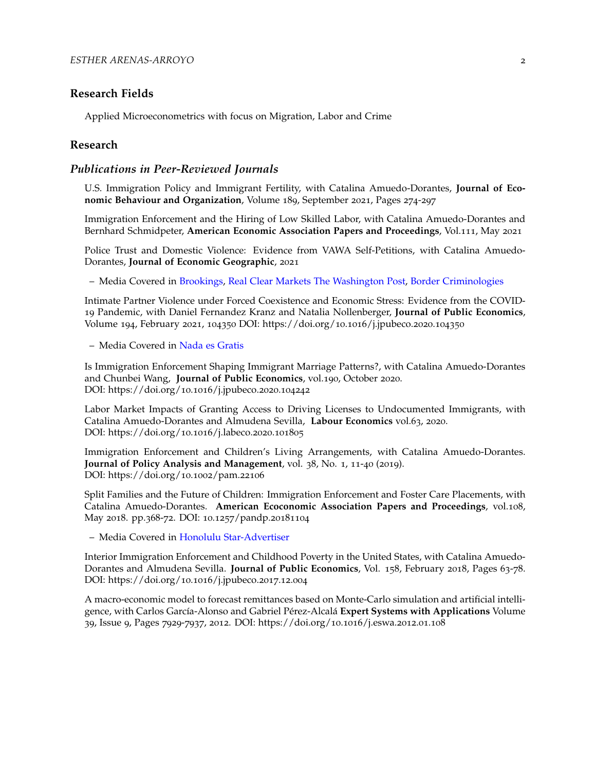# **Research Fields**

Applied Microeconometrics with focus on Migration, Labor and Crime

#### **Research**

#### *Publications in Peer-Reviewed Journals*

U.S. Immigration Policy and Immigrant Fertility, with Catalina Amuedo-Dorantes, **Journal of Economic Behaviour and Organization**, Volume 189, September 2021, Pages 274-297

Immigration Enforcement and the Hiring of Low Skilled Labor, with Catalina Amuedo-Dorantes and Bernhard Schmidpeter, **American Economic Association Papers and Proceedings**, Vol.111, May 2021

Police Trust and Domestic Violence: Evidence from VAWA Self-Petitions, with Catalina Amuedo-Dorantes, **Journal of Economic Geographic**, 2021

– Media Covered in [Brookings,](https://www.brookings.edu/opinions/outdated-immigration-laws-increase-violence-toward-women/) [Real Clear Markets](https://www.realclearmarkets.com/articles/2019/05/30/more_violence_against_women_is_the_result_of_outdated_immigration_laws_103759.html) [The Washington Post,](https://www.washingtonpost.com/gdpr-consent/?next_url=https%3a%2f%2fwww.washingtonpost.com%2fpolitics%2f2021%2f02%2f05%2fwhen-local-police-cooperate-with-ice-latino-communities-under-report-crime-heres-data%2f) [Border Criminologies](https://www.law.ox.ac.uk/research-subject-groups/centre-criminology/centreborder-criminologies/blog/2021/07/immigration)

Intimate Partner Violence under Forced Coexistence and Economic Stress: Evidence from the COVID-19 Pandemic, with Daniel Fernandez Kranz and Natalia Nollenberger, **Journal of Public Economics**, Volume 194, February 2021, 104350 DOI: https://doi.org/10.1016/j.jpubeco.2020.104350

– Media Covered in [Nada es Gratis](https://nadaesgratis.es/admin/la-violencia-domestica-durante-el-confinamiento-en-espana-resultados-de-una-encuesta-online)

Is Immigration Enforcement Shaping Immigrant Marriage Patterns?, with Catalina Amuedo-Dorantes and Chunbei Wang, **Journal of Public Economics**, vol.190, October 2020. DOI: https://doi.org/10.1016/j.jpubeco.2020.104242

Labor Market Impacts of Granting Access to Driving Licenses to Undocumented Immigrants, with Catalina Amuedo-Dorantes and Almudena Sevilla, **Labour Economics** vol.63, 2020. DOI: https://doi.org/10.1016/j.labeco.2020.101805

Immigration Enforcement and Children's Living Arrangements, with Catalina Amuedo-Dorantes. **Journal of Policy Analysis and Management**, vol. 38, No. 1, 11-40 (2019). DOI: https://doi.org/10.1002/pam.22106

Split Families and the Future of Children: Immigration Enforcement and Foster Care Placements, with Catalina Amuedo-Dorantes. **American Ecoconomic Association Papers and Proceedings**, vol.108, May 2018. pp.368-72. DOI: 10.1257/pandp.20181104

– Media Covered in [Honolulu Star-Advertiser](http://www.staradvertiser.com/2018/06/25/breaking-news/migrant-kids-could-end-up-in-already-strained-foster-system/)

Interior Immigration Enforcement and Childhood Poverty in the United States, with Catalina Amuedo-Dorantes and Almudena Sevilla. **Journal of Public Economics**, Vol. 158, February 2018, Pages 63-78. DOI: https://doi.org/10.1016/j.jpubeco.2017.12.004

A macro-economic model to forecast remittances based on Monte-Carlo simulation and artificial intelligence, with Carlos García-Alonso and Gabriel Pérez-Alcalá **Expert Systems with Applications** Volume 39, Issue 9, Pages 7929-7937, 2012. DOI: https://doi.org/10.1016/j.eswa.2012.01.108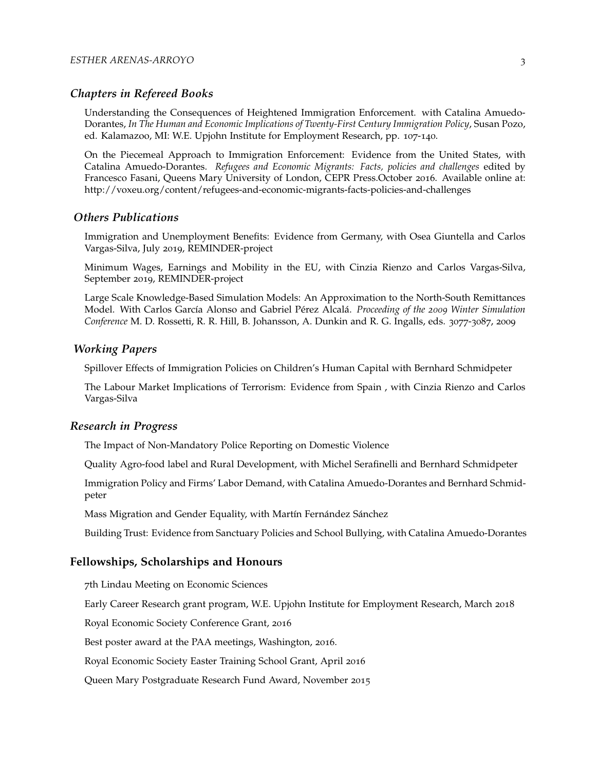## *Chapters in Refereed Books*

Understanding the Consequences of Heightened Immigration Enforcement. with Catalina Amuedo-Dorantes, *In The Human and Economic Implications of Twenty-First Century Immigration Policy*, Susan Pozo, ed. Kalamazoo, MI: W.E. Upjohn Institute for Employment Research, pp. 107-140.

On the Piecemeal Approach to Immigration Enforcement: Evidence from the United States, with Catalina Amuedo-Dorantes. *Refugees and Economic Migrants: Facts, policies and challenges* edited by Francesco Fasani, Queens Mary University of London, CEPR Press.October 2016. Available online at: http://voxeu.org/content/refugees-and-economic-migrants-facts-policies-and-challenges

# *Others Publications*

Immigration and Unemployment Benefits: Evidence from Germany, with Osea Giuntella and Carlos Vargas-Silva, July 2019, REMINDER-project

Minimum Wages, Earnings and Mobility in the EU, with Cinzia Rienzo and Carlos Vargas-Silva, September 2019, REMINDER-project

Large Scale Knowledge-Based Simulation Models: An Approximation to the North-South Remittances Model. With Carlos García Alonso and Gabriel Pérez Alcalá. *Proceeding of the 2009 Winter Simulation Conference* M. D. Rossetti, R. R. Hill, B. Johansson, A. Dunkin and R. G. Ingalls, eds. 3077-3087, 2009

# *Working Papers*

Spillover Effects of Immigration Policies on Children's Human Capital with Bernhard Schmidpeter

The Labour Market Implications of Terrorism: Evidence from Spain , with Cinzia Rienzo and Carlos Vargas-Silva

#### *Research in Progress*

The Impact of Non-Mandatory Police Reporting on Domestic Violence

Quality Agro-food label and Rural Development, with Michel Serafinelli and Bernhard Schmidpeter

Immigration Policy and Firms' Labor Demand, with Catalina Amuedo-Dorantes and Bernhard Schmidpeter

Mass Migration and Gender Equality, with Martín Fernández Sánchez

Building Trust: Evidence from Sanctuary Policies and School Bullying, with Catalina Amuedo-Dorantes

#### **Fellowships, Scholarships and Honours**

7th Lindau Meeting on Economic Sciences

Early Career Research grant program, W.E. Upjohn Institute for Employment Research, March 2018

Royal Economic Society Conference Grant, 2016

Best poster award at the PAA meetings, Washington, 2016.

Royal Economic Society Easter Training School Grant, April 2016

Queen Mary Postgraduate Research Fund Award, November 2015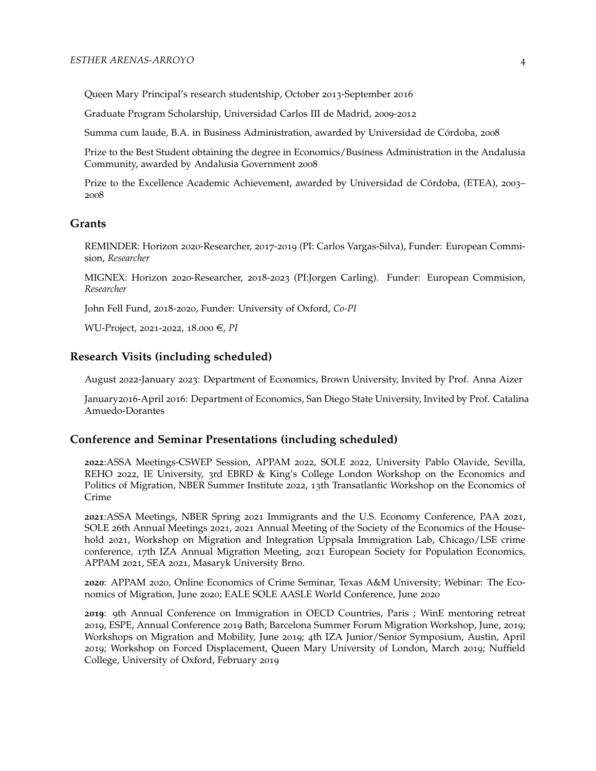Queen Mary Principal's research studentship, October 2013-September 2016

Graduate Program Scholarship, Universidad Carlos III de Madrid, 2009-2012

Summa cum laude, B.A. in Business Administration, awarded by Universidad de Córdoba, 2008

Prize to the Best Student obtaining the degree in Economics/Business Administration in the Andalusia Community, awarded by Andalusia Government 2008

Prize to the Excellence Academic Achievement, awarded by Universidad de Córdoba, (ETEA), 2003– 2008

# **Grants**

REMINDER: Horizon 2020-Researcher, 2017-2019 (PI: Carlos Vargas-Silva), Funder: European Commision, *Researcher*

MIGNEX: Horizon 2020-Researcher, 2018-2023 (PI:Jorgen Carling). Funder: European Commision, *Researcher*

John Fell Fund, 2018-2020, Funder: University of Oxford, *Co-PI*

WU-Project, 2021-2022, 18.000 €, *PI* 

#### **Research Visits (including scheduled)**

August 2022-January 2023: Department of Economics, Brown University, Invited by Prof. Anna Aizer

January2016-April 2016: Department of Economics, San Diego State University, Invited by Prof. Catalina Amuedo-Dorantes

#### **Conference and Seminar Presentations (including scheduled)**

**2022**:ASSA Meetings-CSWEP Session, APPAM 2022, SOLE 2022, University Pablo Olavide, Sevilla, REHO 2022, IE University, 3rd EBRD & King's College London Workshop on the Economics and Politics of Migration, NBER Summer Institute 2022, 13th Transatlantic Workshop on the Economics of Crime

**2021**:ASSA Meetings, NBER Spring 2021 Immigrants and the U.S. Economy Conference, PAA 2021, SOLE 26th Annual Meetings 2021, 2021 Annual Meeting of the Society of the Economics of the Household 2021, Workshop on Migration and Integration Uppsala Immigration Lab, Chicago/LSE crime conference, 17th IZA Annual Migration Meeting, 2021 European Society for Population Economics, APPAM 2021, SEA 2021, Masaryk University Brno.

**2020**: APPAM 2020, Online Economics of Crime Seminar, Texas A&M University; Webinar: The Economics of Migration, June 2020; EALE SOLE AASLE World Conference, June 2020

**2019**: 9th Annual Conference on Immigration in OECD Countries, Paris ; WinE mentoring retreat 2019, ESPE, Annual Conference 2019 Bath; Barcelona Summer Forum Migration Workshop, June, 2019; Workshops on Migration and Mobility, June 2019; 4th IZA Junior/Senior Symposium, Austin, April 2019; Workshop on Forced Displacement, Queen Mary University of London, March 2019; Nuffield College, University of Oxford, February 2019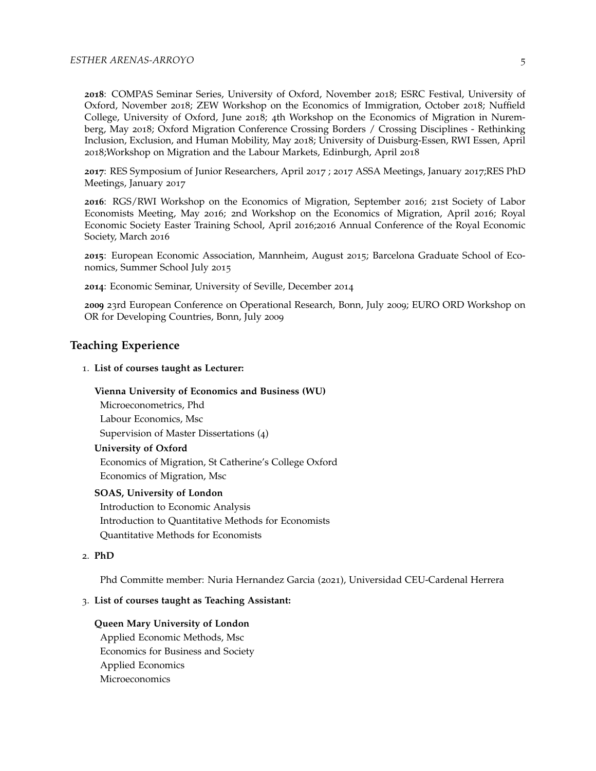**2018**: COMPAS Seminar Series, University of Oxford, November 2018; ESRC Festival, University of Oxford, November 2018; ZEW Workshop on the Economics of Immigration, October 2018; Nuffield College, University of Oxford, June 2018; 4th Workshop on the Economics of Migration in Nuremberg, May 2018; Oxford Migration Conference Crossing Borders / Crossing Disciplines - Rethinking Inclusion, Exclusion, and Human Mobility, May 2018; University of Duisburg-Essen, RWI Essen, April 2018;Workshop on Migration and the Labour Markets, Edinburgh, April 2018

**2017**: RES Symposium of Junior Researchers, April 2017 ; 2017 ASSA Meetings, January 2017;RES PhD Meetings, January 2017

**2016**: RGS/RWI Workshop on the Economics of Migration, September 2016; 21st Society of Labor Economists Meeting, May 2016; 2nd Workshop on the Economics of Migration, April 2016; Royal Economic Society Easter Training School, April 2016;2016 Annual Conference of the Royal Economic Society, March 2016

**2015**: European Economic Association, Mannheim, August 2015; Barcelona Graduate School of Economics, Summer School July 2015

**2014**: Economic Seminar, University of Seville, December 2014

**2009** 23rd European Conference on Operational Research, Bonn, July 2009; EURO ORD Workshop on OR for Developing Countries, Bonn, July 2009

## **Teaching Experience**

#### 1. **List of courses taught as Lecturer:**

#### **Vienna University of Economics and Business (WU)**

Microeconometrics, Phd Labour Economics, Msc

Supervision of Master Dissertations (4)

#### **University of Oxford**

Economics of Migration, St Catherine's College Oxford Economics of Migration, Msc

#### **SOAS, University of London**

Introduction to Economic Analysis Introduction to Quantitative Methods for Economists Quantitative Methods for Economists

# 2. **PhD**

Phd Committe member: Nuria Hernandez Garcia (2021), Universidad CEU-Cardenal Herrera

#### 3. **List of courses taught as Teaching Assistant:**

#### **Queen Mary University of London**

Applied Economic Methods, Msc Economics for Business and Society Applied Economics Microeconomics